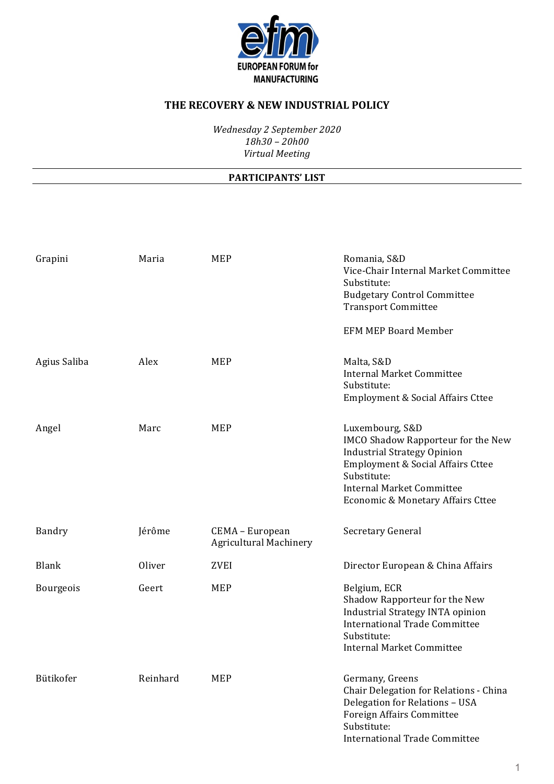

*Wednesday 2 September 2020 18h30 – 20h00 Virtual Meeting*

#### **PARTICIPANTS' LIST**

| Grapini      | Maria    | <b>MEP</b>                                       | Romania, S&D<br>Vice-Chair Internal Market Committee<br>Substitute:<br><b>Budgetary Control Committee</b><br><b>Transport Committee</b><br><b>EFM MEP Board Member</b>                                                          |
|--------------|----------|--------------------------------------------------|---------------------------------------------------------------------------------------------------------------------------------------------------------------------------------------------------------------------------------|
| Agius Saliba | Alex     | MEP                                              | Malta, S&D<br><b>Internal Market Committee</b><br>Substitute:<br>Employment & Social Affairs Cttee                                                                                                                              |
| Angel        | Marc     | <b>MEP</b>                                       | Luxembourg, S&D<br><b>IMCO Shadow Rapporteur for the New</b><br><b>Industrial Strategy Opinion</b><br>Employment & Social Affairs Cttee<br>Substitute:<br><b>Internal Market Committee</b><br>Economic & Monetary Affairs Cttee |
| Bandry       | Jérôme   | CEMA - European<br><b>Agricultural Machinery</b> | Secretary General                                                                                                                                                                                                               |
| <b>Blank</b> | Oliver   | <b>ZVEI</b>                                      | Director European & China Affairs                                                                                                                                                                                               |
| Bourgeois    | Geert    | <b>MEP</b>                                       | Belgium, ECR<br>Shadow Rapporteur for the New<br>Industrial Strategy INTA opinion<br><b>International Trade Committee</b><br>Substitute:<br><b>Internal Market Committee</b>                                                    |
| Bütikofer    | Reinhard | <b>MEP</b>                                       | Germany, Greens<br>Chair Delegation for Relations - China<br>Delegation for Relations - USA<br><b>Foreign Affairs Committee</b><br>Substitute:<br><b>International Trade Committee</b>                                          |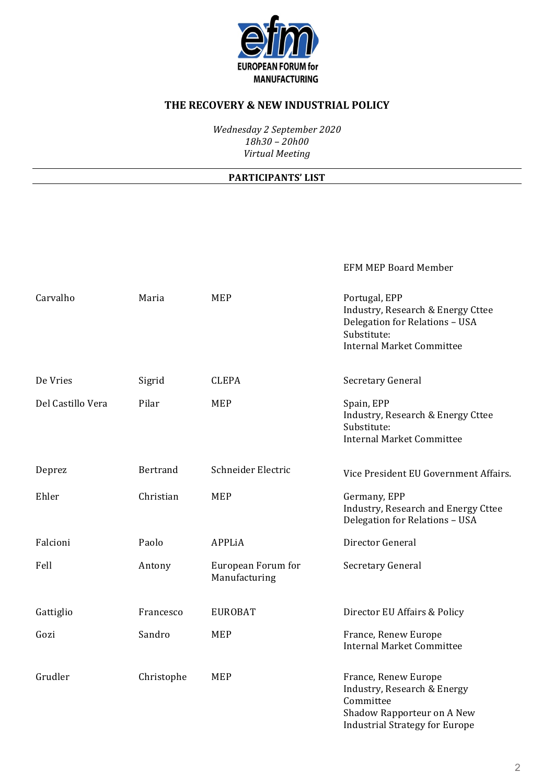

*Wednesday 2 September 2020 18h30 – 20h00 Virtual Meeting*

#### **PARTICIPANTS' LIST**

EFM MEP Board Member

| Carvalho          | Maria      | <b>MEP</b>                          | Portugal, EPP<br>Industry, Research & Energy Cttee<br>Delegation for Relations - USA<br>Substitute:<br><b>Internal Market Committee</b> |
|-------------------|------------|-------------------------------------|-----------------------------------------------------------------------------------------------------------------------------------------|
| De Vries          | Sigrid     | <b>CLEPA</b>                        | Secretary General                                                                                                                       |
| Del Castillo Vera | Pilar      | <b>MEP</b>                          | Spain, EPP<br>Industry, Research & Energy Cttee<br>Substitute:<br><b>Internal Market Committee</b>                                      |
| Deprez            | Bertrand   | Schneider Electric                  | Vice President EU Government Affairs.                                                                                                   |
| Ehler             | Christian  | <b>MEP</b>                          | Germany, EPP<br>Industry, Research and Energy Cttee<br>Delegation for Relations - USA                                                   |
| Falcioni          | Paolo      | <b>APPLiA</b>                       | Director General                                                                                                                        |
| Fell              | Antony     | European Forum for<br>Manufacturing | Secretary General                                                                                                                       |
| Gattiglio         | Francesco  | <b>EUROBAT</b>                      | Director EU Affairs & Policy                                                                                                            |
| Gozi              | Sandro     | <b>MEP</b>                          | France, Renew Europe<br><b>Internal Market Committee</b>                                                                                |
| Grudler           | Christophe | <b>MEP</b>                          | France, Renew Europe<br>Industry, Research & Energy<br>Committee<br>Shadow Rapporteur on A New<br><b>Industrial Strategy for Europe</b> |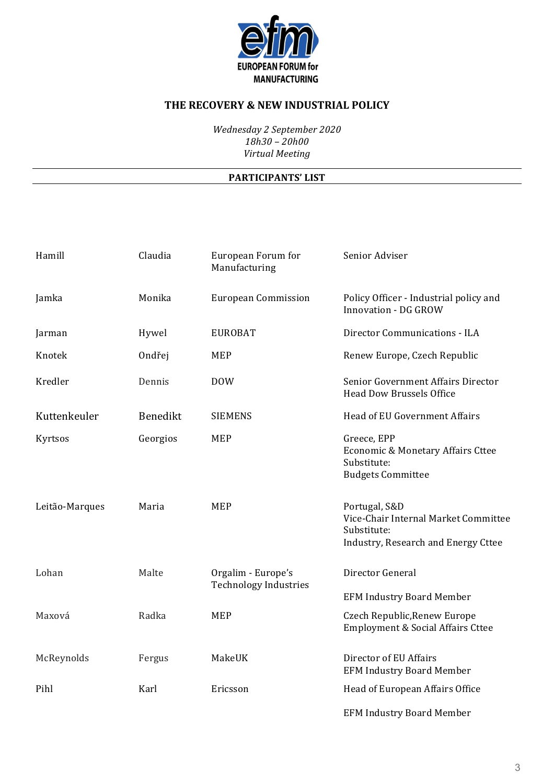

*Wednesday 2 September 2020 18h30 – 20h00 Virtual Meeting*

### **PARTICIPANTS' LIST**

| Hamill         | Claudia  | European Forum for<br>Manufacturing                | Senior Adviser                                                                                              |
|----------------|----------|----------------------------------------------------|-------------------------------------------------------------------------------------------------------------|
| Jamka          | Monika   | <b>European Commission</b>                         | Policy Officer - Industrial policy and<br><b>Innovation - DG GROW</b>                                       |
| Jarman         | Hywel    | <b>EUROBAT</b>                                     | Director Communications - ILA                                                                               |
| Knotek         | Ondřej   | MEP                                                | Renew Europe, Czech Republic                                                                                |
| Kredler        | Dennis   | <b>DOW</b>                                         | Senior Government Affairs Director<br><b>Head Dow Brussels Office</b>                                       |
| Kuttenkeuler   | Benedikt | <b>SIEMENS</b>                                     | Head of EU Government Affairs                                                                               |
| Kyrtsos        | Georgios | <b>MEP</b>                                         | Greece, EPP<br>Economic & Monetary Affairs Cttee<br>Substitute:<br><b>Budgets Committee</b>                 |
| Leitão-Marques | Maria    | MEP                                                | Portugal, S&D<br>Vice-Chair Internal Market Committee<br>Substitute:<br>Industry, Research and Energy Cttee |
| Lohan          | Malte    | Orgalim - Europe's<br><b>Technology Industries</b> | Director General                                                                                            |
|                |          |                                                    | <b>EFM Industry Board Member</b>                                                                            |
| Maxová         | Radka    | <b>MEP</b>                                         | Czech Republic, Renew Europe<br>Employment & Social Affairs Cttee                                           |
| McReynolds     | Fergus   | MakeUK                                             | Director of EU Affairs<br><b>EFM Industry Board Member</b>                                                  |
| Pihl           | Karl     | Ericsson                                           | Head of European Affairs Office                                                                             |
|                |          |                                                    | <b>EFM Industry Board Member</b>                                                                            |